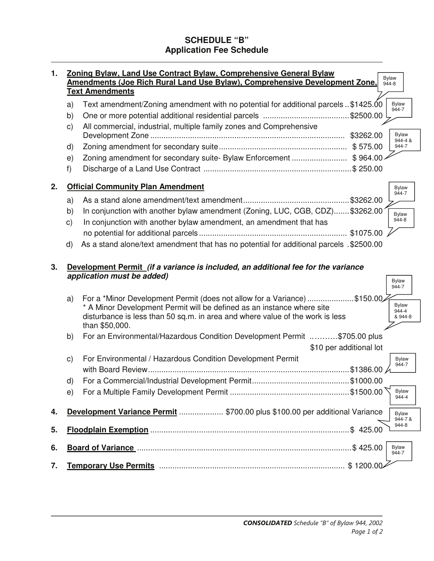# **SCHEDULE "B" Application Fee Schedule**